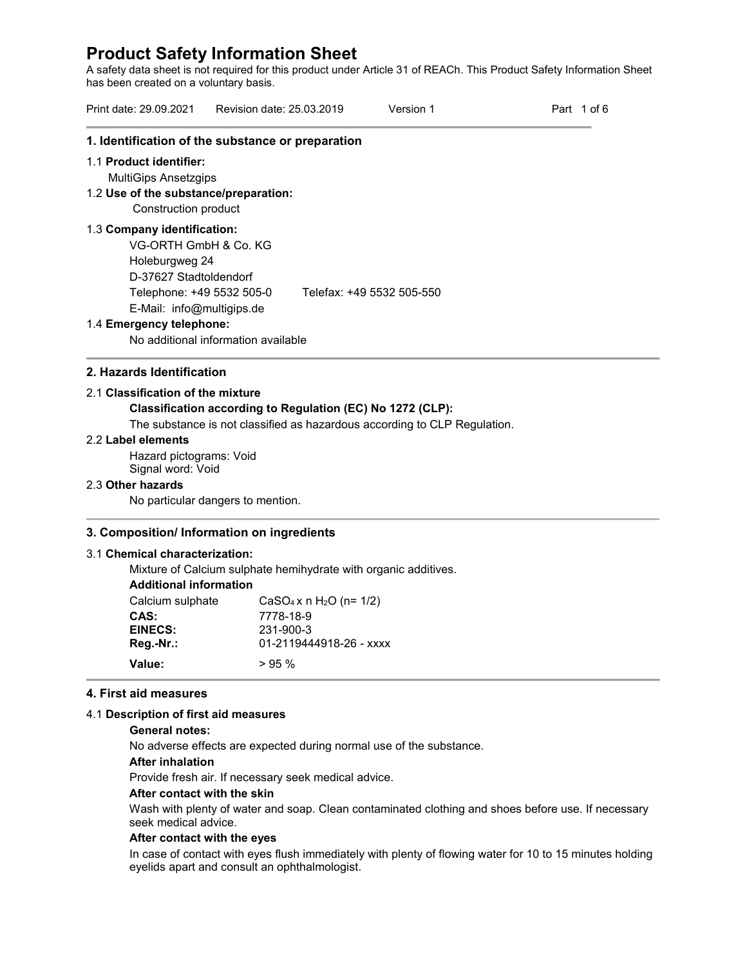A safety data sheet is not required for this product under Article 31 of REACh. This Product Safety Information Sheet has been created on a voluntary basis.

| Print date: 29.09.2021                                                                                                                                     | Revision date: 25.03.2019 | Version 1                 | Part 1 of 6 |
|------------------------------------------------------------------------------------------------------------------------------------------------------------|---------------------------|---------------------------|-------------|
| 1. Identification of the substance or preparation                                                                                                          |                           |                           |             |
| 1.1 Product identifier:<br><b>MultiGips Ansetzgips</b><br>1.2 Use of the substance/preparation:<br>Construction product                                    |                           |                           |             |
| 1.3 Company identification:<br>VG-ORTH GmbH & Co. KG<br>Holeburgweg 24<br>D-37627 Stadtoldendorf<br>Telephone: +49 5532 505-0<br>E-Mail: info@multigips.de |                           | Telefax: +49 5532 505-550 |             |
| 1.4 Emergency telephone:<br>No additional information available                                                                                            |                           |                           |             |

#### 2.1 **Classification of the mixture**

#### **Classification according to Regulation (EC) No 1272 (CLP):**

The substance is not classified as hazardous according to CLP Regulation.

#### 2.2 **Label elements**

Hazard pictograms: Void Signal word: Void

#### 2.3 **Other hazards**

No particular dangers to mention.

#### **3. Composition/ Information on ingredients**

#### 3.1 **Chemical characterization:**

Mixture of Calcium sulphate hemihydrate with organic additives.

## **Additional information**

| Calcium sulphate | $CaSO_4x$ n H <sub>2</sub> O (n= 1/2) |
|------------------|---------------------------------------|
| CAS:             | 7778-18-9                             |
| <b>EINECS:</b>   | 231-900-3                             |
| Reg.-Nr.:        | 01-2119444918-26 - xxxx               |
| Value:           | $> 95\%$                              |

#### **4. First aid measures**

#### 4.1 **Description of first aid measures**

#### **General notes:**

No adverse effects are expected during normal use of the substance.

#### **After inhalation**

Provide fresh air. If necessary seek medical advice.

## **After contact with the skin**

Wash with plenty of water and soap. Clean contaminated clothing and shoes before use. If necessary seek medical advice.

#### **After contact with the eyes**

In case of contact with eyes flush immediately with plenty of flowing water for 10 to 15 minutes holding eyelids apart and consult an ophthalmologist.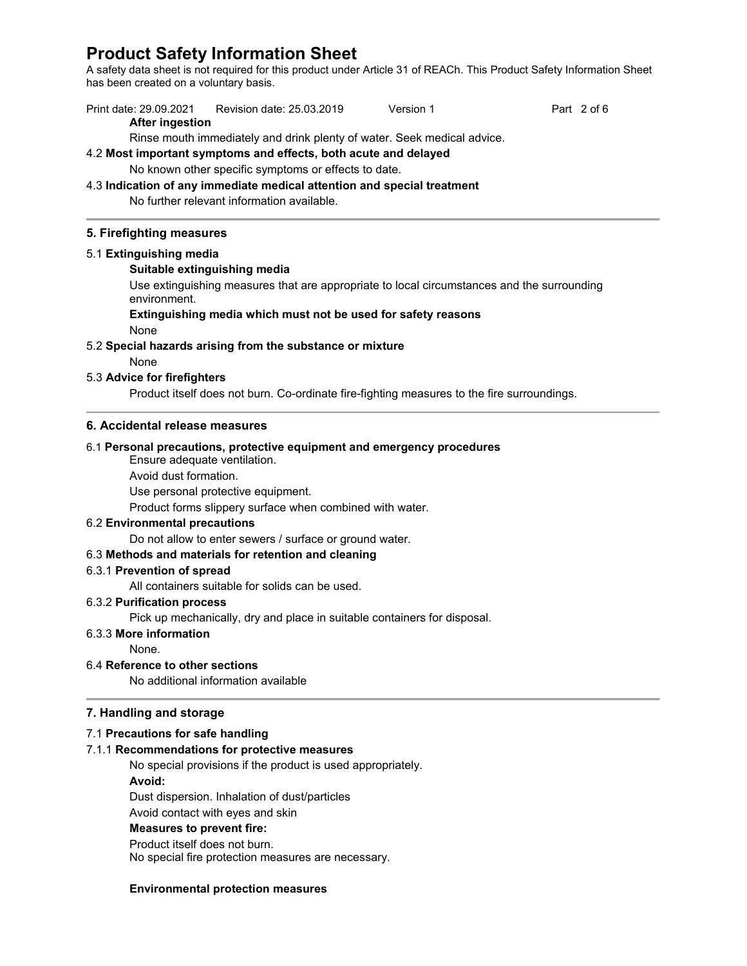A safety data sheet is not required for this product under Article 31 of REACh. This Product Safety Information Sheet has been created on a voluntary basis.

Print date: 29.09.2021 Revision date: 25.03.2019 Version 1 Part 2 of 6 **After ingestion**

Rinse mouth immediately and drink plenty of water. Seek medical advice.

## 4.2 **Most important symptoms and effects, both acute and delayed**

No known other specific symptoms or effects to date.

## 4.3 **Indication of any immediate medical attention and special treatment**

No further relevant information available.

## **5. Firefighting measures**

#### 5.1 **Extinguishing media**

#### **Suitable extinguishing media**

Use extinguishing measures that are appropriate to local circumstances and the surrounding environment.

# **Extinguishing media which must not be used for safety reasons**

None

#### 5.2 **Special hazards arising from the substance or mixture**

None

# 5.3 **Advice for firefighters**

Product itself does not burn. Co-ordinate fire-fighting measures to the fire surroundings.

#### **6. Accidental release measures**

#### 6.1 **Personal precautions, protective equipment and emergency procedures**

Ensure adequate ventilation.

Avoid dust formation.

Use personal protective equipment.

Product forms slippery surface when combined with water.

#### 6.2 **Environmental precautions**

Do not allow to enter sewers / surface or ground water.

## 6.3 **Methods and materials for retention and cleaning**

#### 6.3.1 **Prevention of spread**

All containers suitable for solids can be used.

#### 6.3.2 **Purification process**

Pick up mechanically, dry and place in suitable containers for disposal.

#### 6.3.3 **More information**

None.

## 6.4 **Reference to other sections**

No additional information available

## **7. Handling and storage**

#### 7.1 **Precautions for safe handling**

## 7.1.1 **Recommendations for protective measures**

No special provisions if the product is used appropriately.

# **Avoid:**

Dust dispersion. Inhalation of dust/particles

Avoid contact with eyes and skin

## **Measures to prevent fire:**

Product itself does not burn. No special fire protection measures are necessary.

#### **Environmental protection measures**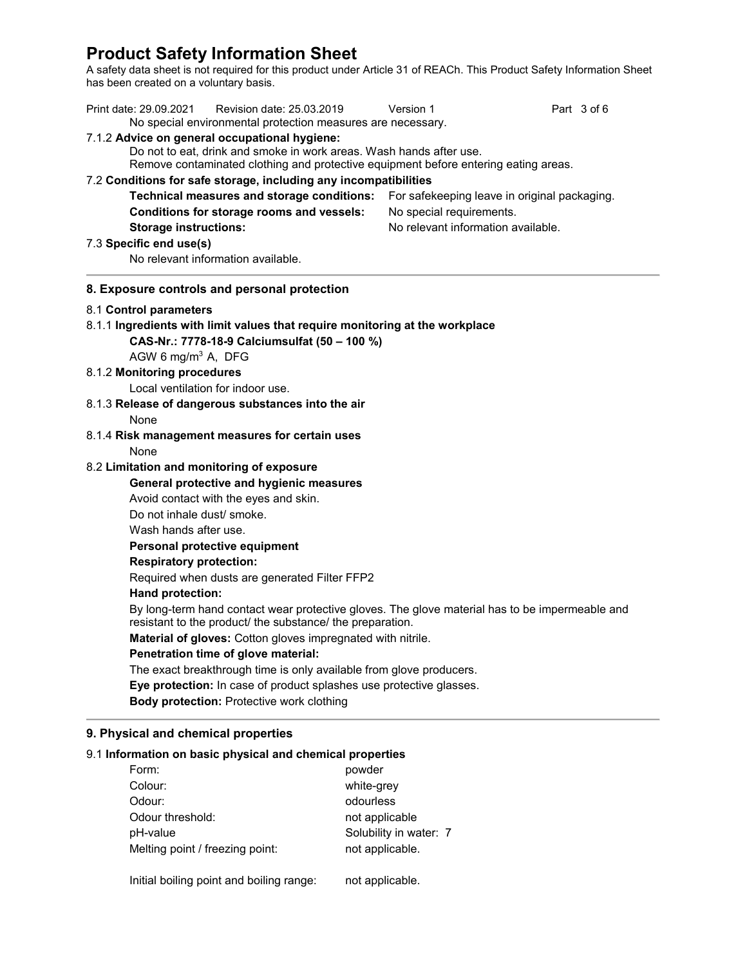A safety data sheet is not required for this product under Article 31 of REACh. This Product Safety Information Sheet has been created on a voluntary basis.

| Print date: 29.09.2021<br>Revision date: 25.03.2019                                                                  | Version 1<br>Part 3 of 6                                                                       |
|----------------------------------------------------------------------------------------------------------------------|------------------------------------------------------------------------------------------------|
| No special environmental protection measures are necessary.                                                          |                                                                                                |
| 7.1.2 Advice on general occupational hygiene:<br>Do not to eat, drink and smoke in work areas. Wash hands after use. |                                                                                                |
| Remove contaminated clothing and protective equipment before entering eating areas.                                  |                                                                                                |
| 7.2 Conditions for safe storage, including any incompatibilities                                                     |                                                                                                |
| Technical measures and storage conditions:                                                                           | For safekeeping leave in original packaging.                                                   |
| Conditions for storage rooms and vessels:                                                                            | No special requirements.                                                                       |
| <b>Storage instructions:</b>                                                                                         | No relevant information available.                                                             |
| 7.3 Specific end use(s)                                                                                              |                                                                                                |
| No relevant information available.                                                                                   |                                                                                                |
|                                                                                                                      |                                                                                                |
| 8. Exposure controls and personal protection                                                                         |                                                                                                |
| 8.1 Control parameters                                                                                               |                                                                                                |
| 8.1.1 Ingredients with limit values that require monitoring at the workplace                                         |                                                                                                |
| CAS-Nr.: 7778-18-9 Calciumsulfat (50 - 100 %)                                                                        |                                                                                                |
| AGW 6 mg/m <sup>3</sup> A, DFG                                                                                       |                                                                                                |
| 8.1.2 Monitoring procedures                                                                                          |                                                                                                |
| Local ventilation for indoor use.                                                                                    |                                                                                                |
| 8.1.3 Release of dangerous substances into the air                                                                   |                                                                                                |
| None                                                                                                                 |                                                                                                |
| 8.1.4 Risk management measures for certain uses                                                                      |                                                                                                |
| None                                                                                                                 |                                                                                                |
| 8.2 Limitation and monitoring of exposure                                                                            |                                                                                                |
| General protective and hygienic measures                                                                             |                                                                                                |
| Avoid contact with the eyes and skin.<br>Do not inhale dust/ smoke.                                                  |                                                                                                |
| Wash hands after use.                                                                                                |                                                                                                |
| Personal protective equipment                                                                                        |                                                                                                |
| <b>Respiratory protection:</b>                                                                                       |                                                                                                |
| Required when dusts are generated Filter FFP2                                                                        |                                                                                                |
| Hand protection:                                                                                                     |                                                                                                |
|                                                                                                                      | By long-term hand contact wear protective gloves. The glove material has to be impermeable and |
| resistant to the product/ the substance/ the preparation.                                                            |                                                                                                |
| Material of gloves: Cotton gloves impregnated with nitrile.                                                          |                                                                                                |
| Penetration time of glove material:                                                                                  |                                                                                                |
| The exact breakthrough time is only available from glove producers.                                                  |                                                                                                |
| Eye protection: In case of product splashes use protective glasses.                                                  |                                                                                                |
| Body protection: Protective work clothing                                                                            |                                                                                                |
| 9. Physical and chemical properties                                                                                  |                                                                                                |
| 9.1 Information on basic physical and chemical properties                                                            |                                                                                                |
| Form:<br>powder                                                                                                      |                                                                                                |
| Colour:<br>white-grey                                                                                                |                                                                                                |
| odourless<br>Odour:                                                                                                  |                                                                                                |
| Odour threshold:                                                                                                     | not applicable                                                                                 |

pH-value **Solubility** in water: 7 Melting point / freezing point: not applicable.

Initial boiling point and boiling range: not applicable.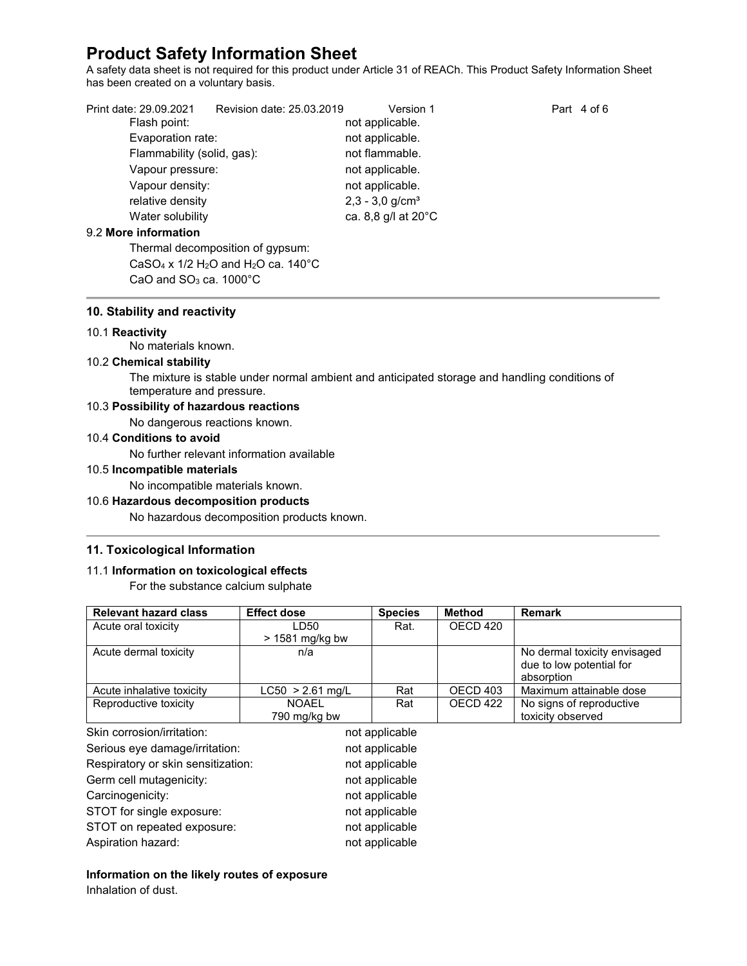A safety data sheet is not required for this product under Article 31 of REACh. This Product Safety Information Sheet has been created on a voluntary basis.

| Print date: 29.09.2021     | Revision date: 25.03.2019 | Version 1                     | Part 4 of 6 |
|----------------------------|---------------------------|-------------------------------|-------------|
| Flash point:               | not applicable.           |                               |             |
| Evaporation rate:          |                           | not applicable.               |             |
| Flammability (solid, gas): |                           | not flammable.                |             |
| Vapour pressure:           |                           | not applicable.               |             |
| Vapour density:            |                           | not applicable.               |             |
| relative density           |                           | $2,3 - 3,0$ g/cm <sup>3</sup> |             |
| Water solubility           |                           | ca. 8,8 g/l at 20°C           |             |
| 9.2 More information       |                           |                               |             |
|                            |                           |                               |             |

Thermal decomposition of gypsum: CaSO<sub>4</sub> x  $1/2$  H<sub>2</sub>O and H<sub>2</sub>O ca.  $140^{\circ}$ C CaO and  $SO<sub>3</sub>$  ca. 1000 $^{\circ}$ C

#### **10. Stability and reactivity**

#### 10.1 **Reactivity**

No materials known.

#### 10.2 **Chemical stability**

The mixture is stable under normal ambient and anticipated storage and handling conditions of temperature and pressure.

## 10.3 **Possibility of hazardous reactions**

No dangerous reactions known.

#### 10.4 **Conditions to avoid**

No further relevant information available

#### 10.5 **Incompatible materials**

No incompatible materials known.

## 10.6 **Hazardous decomposition products**

No hazardous decomposition products known.

## **11. Toxicological Information**

## 11.1 **Information on toxicological effects**

For the substance calcium sulphate

| <b>Relevant hazard class</b>       | <b>Effect dose</b> | <b>Species</b> | <b>Method</b> | <b>Remark</b>                                                          |
|------------------------------------|--------------------|----------------|---------------|------------------------------------------------------------------------|
| Acute oral toxicity                | D50-               | Rat.           | OECD 420      |                                                                        |
|                                    | > 1581 mg/kg bw    |                |               |                                                                        |
| Acute dermal toxicity              | n/a                |                |               | No dermal toxicity envisaged<br>due to low potential for<br>absorption |
| Acute inhalative toxicity          | $LC50 > 2.61$ mg/L | Rat            | OECD 403      | Maximum attainable dose                                                |
| Reproductive toxicity              | <b>NOAEL</b>       | Rat            | OECD 422      | No signs of reproductive                                               |
|                                    | 790 mg/kg bw       |                |               | toxicity observed                                                      |
| Skin corrosion/irritation:         |                    | not applicable |               |                                                                        |
| Serious eye damage/irritation:     |                    | not applicable |               |                                                                        |
| Respiratory or skin sensitization: |                    | not applicable |               |                                                                        |
| Germ cell mutagenicity:            |                    | not applicable |               |                                                                        |
| Carcinogenicity:                   |                    | not applicable |               |                                                                        |
| STOT for single exposure:          |                    | not applicable |               |                                                                        |
| STOT on repeated exposure:         |                    | not applicable |               |                                                                        |
| Aspiration hazard:                 |                    | not applicable |               |                                                                        |

## **Information on the likely routes of exposure**

Inhalation of dust.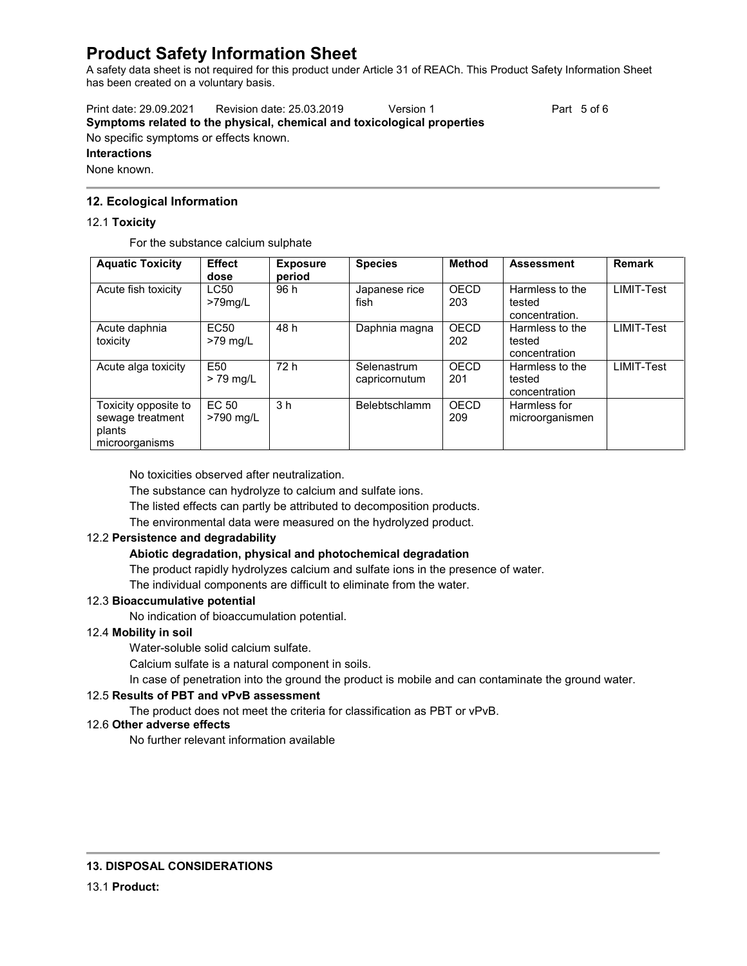A safety data sheet is not required for this product under Article 31 of REACh. This Product Safety Information Sheet has been created on a voluntary basis.

Print date: 29.09.2021 Revision date: 25.03.2019 Version 1 Part 5 of 6 **Symptoms related to the physical, chemical and toxicological properties** No specific symptoms or effects known.

**Interactions**

None known.

# **12. Ecological Information**

## 12.1 **Toxicity**

For the substance calcium sulphate

| <b>Aquatic Toxicity</b>                                              | <b>Effect</b><br>dose          | <b>Exposure</b><br>period | <b>Species</b>               | <b>Method</b> | <b>Assessment</b>                           | <b>Remark</b> |
|----------------------------------------------------------------------|--------------------------------|---------------------------|------------------------------|---------------|---------------------------------------------|---------------|
| Acute fish toxicity                                                  | <b>LC50</b><br>$>79$ mg/L      | 96 h                      | Japanese rice<br>fish        | OECD<br>203   | Harmless to the<br>tested<br>concentration. | LIMIT-Test    |
| Acute daphnia<br>toxicity                                            | EC50<br>$>79$ mg/L             | 48 h                      | Daphnia magna                | OECD<br>202   | Harmless to the<br>tested<br>concentration  | LIMIT-Test    |
| Acute alga toxicity                                                  | E <sub>50</sub><br>$> 79$ mg/L | 72 h                      | Selenastrum<br>capricornutum | OECD<br>201   | Harmless to the<br>tested<br>concentration  | LIMIT-Test    |
| Toxicity opposite to<br>sewage treatment<br>plants<br>microorganisms | EC 50<br>>790 mg/L             | 3 <sub>h</sub>            | Belebtschlamm                | OECD<br>209   | Harmless for<br>microorganismen             |               |

No toxicities observed after neutralization.

The substance can hydrolyze to calcium and sulfate ions.

The listed effects can partly be attributed to decomposition products.

The environmental data were measured on the hydrolyzed product.

# 12.2 **Persistence and degradability**

# **Abiotic degradation, physical and photochemical degradation**

The product rapidly hydrolyzes calcium and sulfate ions in the presence of water.

The individual components are difficult to eliminate from the water.

# 12.3 **Bioaccumulative potential**

No indication of bioaccumulation potential.

# 12.4 **Mobility in soil**

Water-soluble solid calcium sulfate.

Calcium sulfate is a natural component in soils.

In case of penetration into the ground the product is mobile and can contaminate the ground water.

## 12.5 **Results of PBT and vPvB assessment**

The product does not meet the criteria for classification as PBT or vPvB.

## 12.6 **Other adverse effects**

No further relevant information available